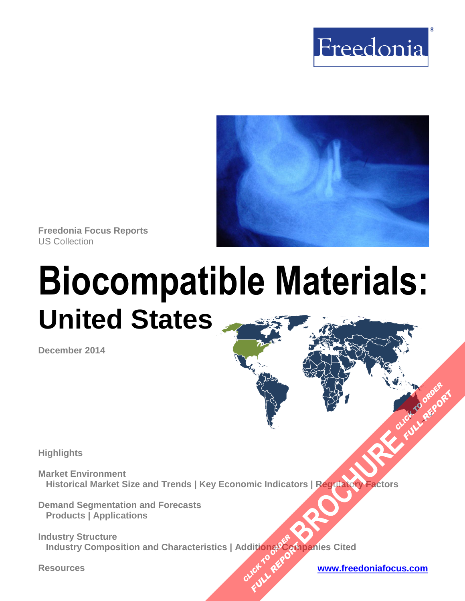



**Freedonia Focus Reports** US Collection

# **Biocompatible Materials: United States**

**December 2014**

**Highlights** 

**Market Environment Historical Market Size and Trends | Key Economic Indicators | Regulatory Factors [BROCHURE](http://www.freedoniagroup.com/FocusDetails.aspx?ReferrerId=FM-FocusBro&ReportID=FF40041) ACCESSIONS** 

**Demand Segmentation and Forecasts Products | Applications** 

**Industry Structure Industry Composition and Characteristics | Additional Companies Cited CLICK TO REPORT FULL REPORT** 

**Resources [www.freedoniafocus.com](http://www.freedoniagroup.com/FocusReports.aspx?ReferrerId=FM-FocusBro)**

**FULL REPORT**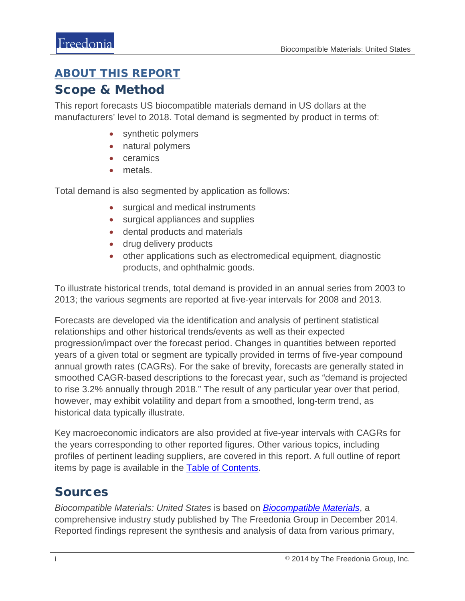#### <span id="page-1-0"></span>ABOUT THIS REPORT

#### Scope & Method

This report forecasts US biocompatible materials demand in US dollars at the manufacturers' level to 2018. Total demand is segmented by product in terms of:

- synthetic polymers
- natural polymers
- **ceramics**
- metals.

Total demand is also segmented by application as follows:

- surgical and medical instruments
- surgical appliances and supplies
- dental products and materials
- drug delivery products
- other applications such as electromedical equipment, diagnostic products, and ophthalmic goods.

To illustrate historical trends, total demand is provided in an annual series from 2003 to 2013; the various segments are reported at five-year intervals for 2008 and 2013.

Forecasts are developed via the identification and analysis of pertinent statistical relationships and other historical trends/events as well as their expected progression/impact over the forecast period. Changes in quantities between reported years of a given total or segment are typically provided in terms of five-year compound annual growth rates (CAGRs). For the sake of brevity, forecasts are generally stated in smoothed CAGR-based descriptions to the forecast year, such as "demand is projected to rise 3.2% annually through 2018." The result of any particular year over that period, however, may exhibit volatility and depart from a smoothed, long-term trend, as historical data typically illustrate.

Key macroeconomic indicators are also provided at five-year intervals with CAGRs for the years corresponding to other reported figures. Other various topics, including profiles of pertinent leading suppliers, are covered in this report. A full outline of report items by page is available in the [Table of Contents.](#page-3-0)

### Sources

*Biocompatible Materials: United States* is based on *[Biocompatible Materials](http://www.freedoniagroup.com/DocumentDetails.aspx?ReferrerId=FL-FOCUS&studyid=3223)*, a comprehensive industry study published by The Freedonia Group in December 2014. Reported findings represent the synthesis and analysis of data from various primary,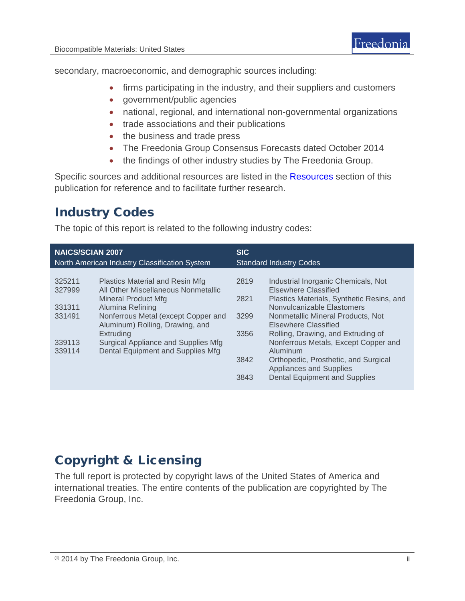secondary, macroeconomic, and demographic sources including:

- firms participating in the industry, and their suppliers and customers
- government/public agencies
- national, regional, and international non-governmental organizations
- trade associations and their publications
- the business and trade press
- The Freedonia Group Consensus Forecasts dated October 2014
- the findings of other industry studies by The Freedonia Group.

Specific sources and additional resources are listed in the **Resources** section of this publication for reference and to facilitate further research.

## Industry Codes

The topic of this report is related to the following industry codes:

| <b>NAICS/SCIAN 2007</b><br>North American Industry Classification System |                                                                        | <b>SIC</b><br><b>Standard Industry Codes</b> |                                                             |
|--------------------------------------------------------------------------|------------------------------------------------------------------------|----------------------------------------------|-------------------------------------------------------------|
|                                                                          |                                                                        |                                              |                                                             |
| 325211<br>327999                                                         | Plastics Material and Resin Mfg<br>All Other Miscellaneous Nonmetallic | 2819                                         | Industrial Inorganic Chemicals, Not<br>Elsewhere Classified |
|                                                                          | Mineral Product Mfg                                                    | 2821                                         | Plastics Materials, Synthetic Resins, and                   |
| 331311                                                                   | Alumina Refining                                                       |                                              | Nonvulcanizable Elastomers                                  |
| 331491                                                                   | Nonferrous Metal (except Copper and                                    | 3299                                         | Nonmetallic Mineral Products, Not                           |
|                                                                          | Aluminum) Rolling, Drawing, and                                        |                                              | Elsewhere Classified                                        |
|                                                                          | Extruding                                                              | 3356                                         | Rolling, Drawing, and Extruding of                          |
| 339113                                                                   | Surgical Appliance and Supplies Mfg                                    |                                              | Nonferrous Metals, Except Copper and                        |
| 339114                                                                   | Dental Equipment and Supplies Mfg                                      |                                              | Aluminum                                                    |
|                                                                          |                                                                        | 3842                                         | Orthopedic, Prosthetic, and Surgical                        |
|                                                                          |                                                                        |                                              | <b>Appliances and Supplies</b>                              |
|                                                                          |                                                                        | 3843                                         | <b>Dental Equipment and Supplies</b>                        |
|                                                                          |                                                                        |                                              |                                                             |

## Copyright & Licensing

The full report is protected by copyright laws of the United States of America and international treaties. The entire contents of the publication are copyrighted by The Freedonia Group, Inc.